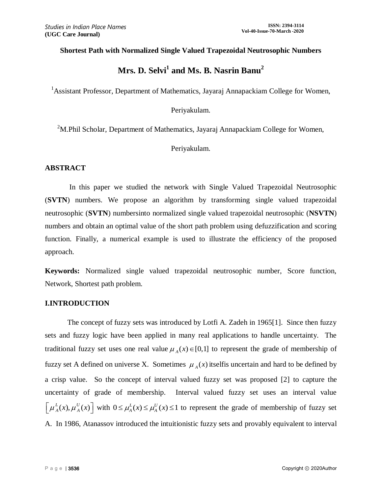#### **Shortest Path with Normalized Single Valued Trapezoidal Neutrosophic Numbers**

# **Mrs. D. Selvi<sup>1</sup> and Ms. B. Nasrin Banu<sup>2</sup>**

<sup>1</sup> Assistant Professor, Department of Mathematics, Jayaraj Annapackiam College for Women,

# Periyakulam.

<sup>2</sup>M.Phil Scholar, Department of Mathematics, Jayaraj Annapackiam College for Women,

#### Periyakulam.

#### **ABSTRACT**

In this paper we studied the network with Single Valued Trapezoidal Neutrosophic (**SVTN**) numbers. We propose an algorithm by transforming single valued trapezoidal neutrosophic (**SVTN**) numbersinto normalized single valued trapezoidal neutrosophic (**NSVTN**) numbers and obtain an optimal value of the short path problem using defuzzification and scoring function. Finally, a numerical example is used to illustrate the efficiency of the proposed approach.

**Keywords:** Normalized single valued trapezoidal neutrosophic number, Score function, Network, Shortest path problem.

#### **I.INTRODUCTION**

The concept of fuzzy sets was introduced by Lotfi A. Zadeh in 1965[1]. Since then fuzzy sets and fuzzy logic have been applied in many real applications to handle uncertainty. The traditional fuzzy set uses one real value  $\mu_A(x) \in [0,1]$  to represent the grade of membership of fuzzy set A defined on universe X. Sometimes  $\mu_A(x)$  itself is uncertain and hard to be defined by a crisp value. So the concept of interval valued fuzzy set was proposed [2] to capture the uncertainty of grade of membership. Interval valued fuzzy set uses an interval value  $\left[\mu_A^L(x), \mu_A^U(x)\right]$  with  $0 \le \mu_A^L(x) \le \mu_A^U(x) \le 1$  to represent the grade of membership of fuzzy set A. In 1986, Atanassov introduced the intuitionistic fuzzy sets and provably equivalent to interval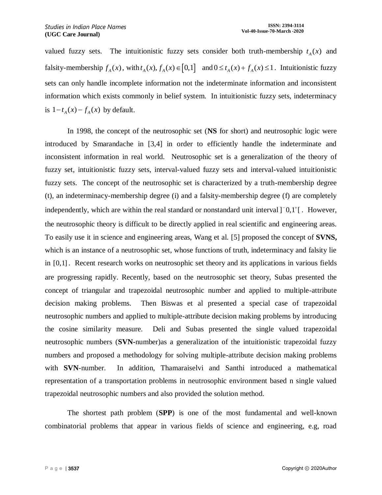valued fuzzy sets. The intuitionistic fuzzy sets consider both truth-membership  $t_A(x)$  and falsity-membership  $f_A(x)$ , with  $t_A(x)$ ,  $f_A(x) \in [0,1]$  and  $0 \le t_A(x) + f_A(x) \le 1$ . Intuitionistic fuzzy sets can only handle incomplete information not the indeterminate information and inconsistent information which exists commonly in belief system. In intuitionistic fuzzy sets, indeterminacy is  $1-t_A(x) - f_A(x)$  by default.

In 1998, the concept of the neutrosophic set (**NS** for short) and neutrosophic logic were introduced by Smarandache in [3,4] in order to efficiently handle the indeterminate and inconsistent information in real world. Neutrosophic set is a generalization of the theory of fuzzy set, intuitionistic fuzzy sets, interval-valued fuzzy sets and interval-valued intuitionistic fuzzy sets. The concept of the neutrosophic set is characterized by a truth-membership degree (t), an indeterminacy-membership degree (i) and a falsity-membership degree (f) are completely independently, which are within the real standard or nonstandard unit interval  $]$ <sup>-</sup>0,1<sup>+</sup>[. However, the neutrosophic theory is difficult to be directly applied in real scientific and engineering areas. To easily use it in science and engineering areas, Wang et al. [5] proposed the concept of **SVNS,**  which is an instance of a neutrosophic set, whose functions of truth, indeterminacy and falsity lie in [0,1] . Recent research works on neutrosophic set theory and its applications in various fields are progressing rapidly. Recently, based on the neutrosophic set theory, Subas presented the concept of triangular and trapezoidal neutrosophic number and applied to multiple-attribute decision making problems. Then Biswas et al presented a special case of trapezoidal neutrosophic numbers and applied to multiple-attribute decision making problems by introducing the cosine similarity measure. Deli and Subas presented the single valued trapezoidal neutrosophic numbers (**SVN-**number)as a generalization of the intuitionistic trapezoidal fuzzy numbers and proposed a methodology for solving multiple-attribute decision making problems with **SVN**-number. In addition, Thamaraiselvi and Santhi introduced a mathematical representation of a transportation problems in neutrosophic environment based n single valued trapezoidal neutrosophic numbers and also provided the solution method.

The shortest path problem (**SPP**) is one of the most fundamental and well-known combinatorial problems that appear in various fields of science and engineering, e.g, road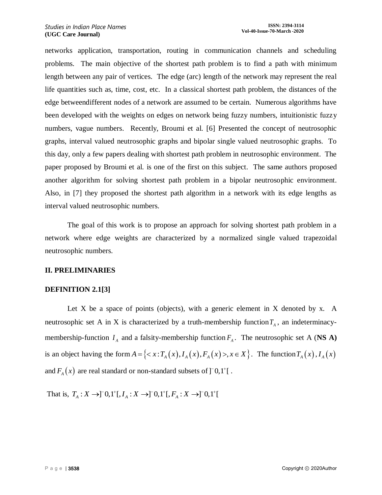networks application, transportation, routing in communication channels and scheduling problems. The main objective of the shortest path problem is to find a path with minimum length between any pair of vertices. The edge (arc) length of the network may represent the real life quantities such as, time, cost, etc. In a classical shortest path problem, the distances of the edge betweendifferent nodes of a network are assumed to be certain. Numerous algorithms have been developed with the weights on edges on network being fuzzy numbers, intuitionistic fuzzy numbers, vague numbers. Recently, Broumi et al. [6] Presented the concept of neutrosophic graphs, interval valued neutrosophic graphs and bipolar single valued neutrosophic graphs. To this day, only a few papers dealing with shortest path problem in neutrosophic environment. The paper proposed by Broumi et al. is one of the first on this subject. The same authors proposed another algorithm for solving shortest path problem in a bipolar neutrosophic environment. Also, in [7] they proposed the shortest path algorithm in a network with its edge lengths as interval valued neutrosophic numbers.

The goal of this work is to propose an approach for solving shortest path problem in a network where edge weights are characterized by a normalized single valued trapezoidal neutrosophic numbers.

## **II. PRELIMINARIES**

## **DEFINITION 2.1[3]**

Let X be a space of points (objects), with a generic element in X denoted by x. A neutrosophic set A in X is characterized by a truth-membership function  $T_A$ , an indeterminacymembership-function  $I_A$  and a falsity-membership function  $F_A$ . The neutrosophic set A (**NS A**) is an object having the form  $A = \{ \langle x : T_A(x), I_A(x), F_A(x) \rangle, x \in X \}$ . The function  $T_A(x), I_A(x)$ and  $F_A(x)$  are real standard or non-standard subsets of  $]$ <sup>-</sup>0,1<sup>+</sup>[. phic set A in X is characterized by a truth-membership function  $T_A$ <br>hip-function  $I_A$  and a falsity-membership function  $F_A$ . The neutros<br>ect having the form  $A = \{ \langle x : T_A(x), I_A(x), F_A(x) \rangle, x \in X \}$ . The fu<br>) are real standard or

That is,  $T_A: X \to ][0,1^+[, I_A: X \to ][0,1^+[, F_A: X \to ][0,1^+[$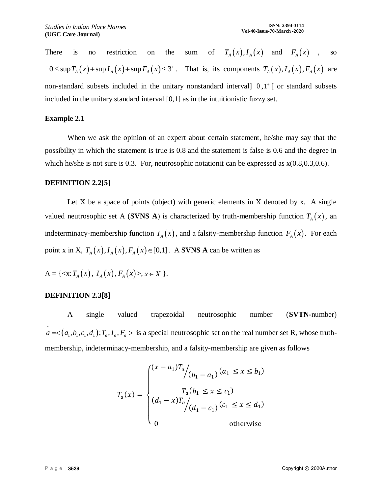There is no restriction on the sum of  $T_A(x)$ ,  $I_A(x)$  and  $F_A(x)$ , so  $T_A(x)$ ,  $T_A(x)$  and  $T_A(x)$ , so<br>  $T_A(x) + \sup T_A(x) + \sup F_A(x) \leq 3^+$ . That is, its components  $T_A(x)$ ,  $T_A(x)$ ,  $F_A(x)$  are non-standard subsets included in the unitary nonstandard interval  $\left[0, 1^{\dagger} \right]$  or standard subsets included in the unitary standard interval [0,1] as in the intuitionistic fuzzy set.

#### **Example 2.1**

When we ask the opinion of an expert about certain statement, he/she may say that the possibility in which the statement is true is 0.8 and the statement is false is 0.6 and the degree in which he/she is not sure is 0.3. For, neutrosophic notationit can be expressed as  $x(0.8, 0.3, 0.6)$ .

#### **DEFINITION 2.2[5]**

Let  $X$  be a space of points (object) with generic elements in  $X$  denoted by  $x$ . A single valued neutrosophic set A (**SVNS A**) is characterized by truth-membership function  $T_A(x)$ , an indeterminacy-membership function  $I_A(x)$ , and a falsity-membership function  $F_A(x)$ . For each point x in X,  $T_A(x)$ ,  $I_A(x)$ ,  $F_A(x) \in [0,1]$ . A **SVNS A** can be written as

$$
A = \{ \langle x; T_A(x), I_A(x), F_A(x) \rangle, x \in X \}.
$$

## **DEFINITION 2.3[8]**

A single valued trapezoidal neutrosophic number (**SVTN-**number)  $\tilde{a} = \langle (a_1, b_1, c_1, d_1); T_a, I_a, F_a \rangle$  is a special neutrosophic set on the real number set R, whose truthmembership, indeterminacy-membership, and a falsity-membership are given as follows

$$
T_a(x) = \begin{cases} (x - a_1)T_a / (b_1 - a_1) (a_1 \le x \le b_1) \\ T_a(b_1 \le x \le c_1) \\ (d_1 - x)T_a / (d_1 - c_1) (c_1 \le x \le d_1) \\ 0 \qquad \text{otherwise} \end{cases}
$$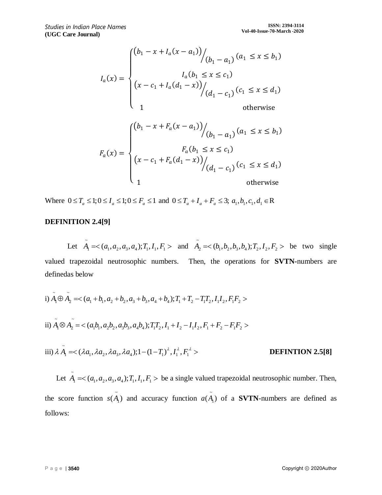$$
I_a(x) = \begin{cases} (b_1 - x + I_a(x - a_1)) \Big/_{(b_1 - a_1)} (a_1 \le x \le b_1) \\ \Big( x - c_1 + I_a(d_1 - x) \Big) \Big/_{(d_1 - c_1)} (c_1 \le x \le d_1) \\ 1 \end{cases}
$$
 otherwise

$$
F_a(x) = \begin{cases} (b_1 - x + F_a(x - a_1)) \Big/_{(b_1 - a_1)} (a_1 \le x \le b_1) \\ F_a(b_1 \le x \le c_1) \\ (x - c_1 + F_a(d_1 - x)) \Big/_{(d_1 - c_1)} (c_1 \le x \le d_1) \\ 1 \end{cases}
$$
 otherwise

Where  $0 \le T_a \le 1; 0 \le I_a \le 1; 0 \le F_a \le 1$  and  $0 \le T_a + I_a + F_a \le 3; a_1, b_1, c_1, d_1 \in \mathbb{R}$ 

#### **DEFINITION 2.4[9]**

Let  $\tilde{A}_1 = \langle (a_1, a_2, a_3, a_4); T_1, I_1, F_1 \rangle$  and  $\tilde{A}_2 = \langle (b_1, b_2, b_3, b_4); T_2, I_2, F_2 \rangle$  be two single valued trapezoidal neutrosophic numbers. Then, the operations for **SVTN-**numbers are definedas below

determinedas below  
\ni) 
$$
\tilde{A}_1 \oplus \tilde{A}_2 = \langle (a_1 + b_1, a_2 + b_2, a_3 + b_3, a_4 + b_4); T_1 + T_2 - T_1 T_2, I_1 I_2, F_1 F_2 \rangle
$$
  
\nii)  $\tilde{A}_1 \otimes \tilde{A}_2 = \langle (a_1 b_1, a_2 b_2, a_3 b_3, a_4 b_4); T_1 T_2, I_1 + I_2 - I_1 I_2, F_1 + F_2 - F_1 F_2 \rangle$ 

iii) 
$$
\lambda \tilde{A}_1 = \langle \lambda a_1, \lambda a_2, \lambda a_3, \lambda a_4 \rangle; 1 - (1 - T_1)^{\lambda}, I_1^{\lambda}, F_1^{\lambda} >
$$
 **DEFINITION 2.5[8]** 

Let  $\tilde{A}_1 = \langle (a_1, a_2, a_3, a_4); T_1, I_1, F_1 \rangle$  be a single valued trapezoidal neutrosophic number. Then, the score function  $s(\tilde{A})$  $s(\tilde{A}_{1})$  and accuracy function  $a(\tilde{A})$  $a(A_1)$  of a **SVTN**-numbers are defined as follows: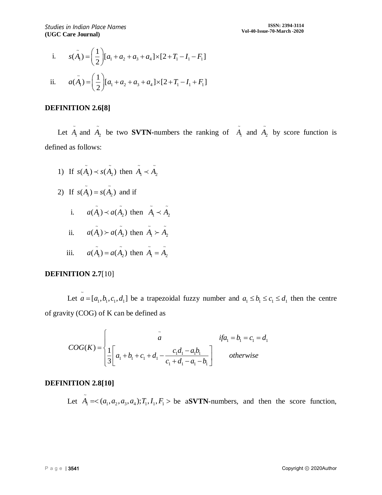i. 
$$
s(\tilde{A}_1) = \left(\frac{1}{2}\right) [a_1 + a_2 + a_3 + a_4] \times [2 + T_1 - I_1 - F_1]
$$
  
ii.  $a(\tilde{A}_1) = \left(\frac{1}{2}\right) [a_1 + a_2 + a_3 + a_4] \times [2 + T_1 - I_1 + F_1]$ 

#### **DEFINITION 2.6[8]**

Let  $A_1$  and  $A_2$  be two **SVTN-**numbers the ranking of  $\tilde{A}_1$  and  $\tilde{A}_2$  by score function is defined as follows:

- 1) If  $s(\tilde{A}_1) \prec s(\tilde{A}_2)$  then  $\tilde{A}_1 \prec \tilde{A}_2$
- 2) If  $s(\tilde{A}_1) = s(\tilde{A}_2)$  and if
	- i.  $a(\tilde{A}_1) \prec a(\tilde{A}_2)$  then  $\tilde{A}_1 \prec \tilde{A}_2$
	- ii.  $a(\tilde{A}_1) > a(\tilde{A}_2)$  then  $\tilde{A}_1 > \tilde{A}_2$
	- iii.  $a(\tilde{A}_1) = a(\tilde{A}_2)$  then  $\tilde{A}_1 = \tilde{A}_2$

## **DEFINITION 2.7**[10]

Let  $\tilde{a} = [a_1, b_1, c_1, d_1]$  be a trapezoidal fuzzy number and  $a_1 \leq b_1 \leq c_1 \leq d_1$  then the centre of gravity (COG) of K can be defined as

(COG) of K can be defined as  
\n
$$
COG(K) = \begin{cases}\n\hat{a} & if a_1 = b_1 = c_1 = d_1 \\
\frac{1}{3} \begin{bmatrix} a_1 + b_1 + c_1 + d_1 - \frac{c_1 d_1 - a_1 b_1}{c_1 + d_1 - a_1 - b_1} \end{bmatrix} & otherwise\n\end{cases}
$$

## **DEFINITION 2.8[10]**

Let  $\tilde{A}_1 = \langle (a_1, a_2, a_3, a_4); T_1, I_1, F_1 \rangle$  be a**SVTN**-numbers, and then the score function,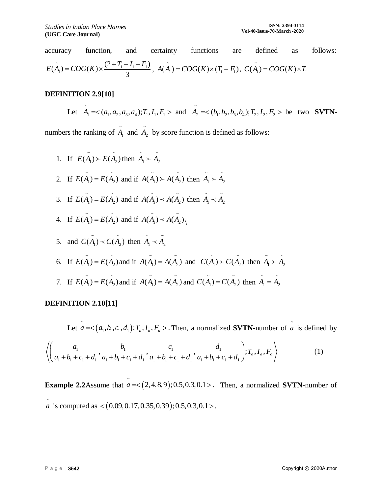accuracy function, and certainty functions are defined as follows:  $E(\tilde{A}_1) = COG(K) \times \frac{(2 + T_1 - I_1 - F_1)}{3}, A(\tilde{A}_1) = COG(K) \times (T_1 - F_1), C(\tilde{A}_1) = COG(K) \times T_1$ 

## **DEFINITION 2.9[10]**

Let  $\tilde{A}_1 = \langle (a_1, a_2, a_3, a_4); T_1, I_1, F_1 \rangle$  and  $\tilde{A}_2 = \langle (b_1, b_2, b_3, b_4); T_2, I_2, F_2 \rangle$  be two **SVTN**-

numbers the ranking of  $A_1$  and  $A_2$  by score function is defined as follows:

1. If  $E(\tilde{A}_1) \succ E(\tilde{A}_2)$  then  $\tilde{A}_1 \succ \tilde{A}_2$ 2. If  $E(\tilde{A}_1) = E(\tilde{A}_2)$  and if  $A(\tilde{A}_1) > A(\tilde{A}_2)$  then  $\tilde{A}_1 > \tilde{A}_2$ 3. If  $E(\tilde{A}_1) = E(\tilde{A}_2)$  and if  $A(\tilde{A}_1) \prec A(\tilde{A}_2)$  then  $\tilde{A}_1 \prec \tilde{A}_2$ 4. If  $E(\tilde{A}_1) = E(\tilde{A}_2)$  and if  $A(\tilde{A}_1) \prec A(\tilde{A}_2)$ 5. and  $C(\tilde{A}_1) \prec C(\tilde{A}_2)$  then  $\tilde{A}_1 \prec \tilde{A}_2$  $\sim$   $\sim$  $\sim$   $\sim$  $\sim$   $\sim$ 

6. If 
$$
E(\tilde{A}_1) = E(\tilde{A}_2)
$$
 and if  $A(\tilde{A}_1) = A(\tilde{A}_2)$  and  $C(\tilde{A}_1) > C(\tilde{A}_2)$  then  $\tilde{A}_1 > \tilde{A}_2$ 

7. If  $E(\tilde{A}_1) = E(\tilde{A}_2)$  and if  $A(\tilde{A}_1) = A(\tilde{A}_2)$  and  $C(\tilde{A}_1) = C(\tilde{A}_2)$  then  $\tilde{A}_1 = \tilde{A}_2$ 

# **DEFINITION 2.10[11]**

Let  $a = <(a_1, b_1, c_1, d_1); T_a, I_a, F_a >$ . Then, a normalized **SVTN**-number of  $\tilde{a}$  is defined by  $\frac{b_1}{1}$ ,  $\frac{b_1}{1}$ ,  $\frac{c_1}{1}$ ,  $\frac{c_1}{1}$ ,  $\frac{d_1}{1}$ Let  $a = <(a_1, b_1, c_1, d_1); T_a, I_a, F_a >$ . Then, a normalized **SVTN**-numb<br>  $\frac{a_1}{a_1 + b_1 + c_1 + d_1}, \frac{b_1}{a_1 + b_1 + c_1 + d_1}, \frac{c_1}{a_1 + b_1 + c_1 + d_1}, \frac{d_1}{a_1 + b_1 + c_1 + d_1}; T_a, I_a, F_a$ Let  $a =<(a_1,b_1,c_1,d_1);T_a, I_a, F_a>$ . Then, a normalized **SVTN**-number<br>  $\left(\frac{a_1}{a_1+b_1+c_1+d_1}, \frac{b_1}{a_1+b_1+c_1+d_1}, \frac{c_1}{a_1+b_1+c_1+d_1}, \frac{d_1}{a_1+b_1+c_1+d_1}\right);T_a, I_a, F_a\right>$ (1)

**Example 2.2**Assume that  $\vec{a}$  = < (2,4,8,9);0.5,0.3,0.1 > . Then, a normalized **SVTN**-number of  $\tilde{a}$  is computed as  $\langle (0.09, 0.17, 0.35, 0.39); 0.5, 0.3, 0.1 \rangle$ .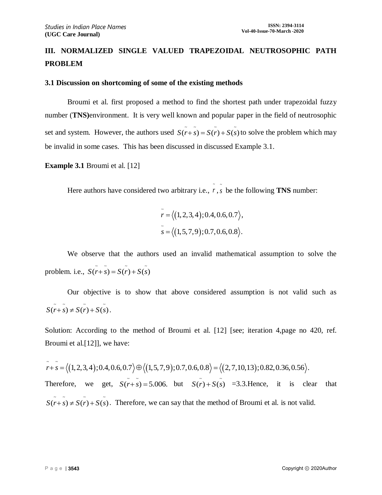# **III. NORMALIZED SINGLE VALUED TRAPEZOIDAL NEUTROSOPHIC PATH PROBLEM**

#### **3.1 Discussion on shortcoming of some of the existing methods**

Broumi et al. first proposed a method to find the shortest path under trapezoidal fuzzy number (**TNS)**environment. It is very well known and popular paper in the field of neutrosophic set and system. However, the authors used  $S(r+\tilde{s}) = S(r) + S(\tilde{s})$  to solve the problem which may be invalid in some cases. This has been discussed in discussed Example 3.1.

#### **Example 3.1** Broumi et al. [12]

Here authors have considered two arbitrary i.e.,  $\overline{r}$ ,  $\overline{s}$  be the following **TNS** number:

$$
\tilde{r} = \langle (1, 2, 3, 4); 0.4, 0.6, 0.7 \rangle,
$$
  

$$
\tilde{s} = \langle (1, 5, 7, 9); 0.7, 0.6, 0.8 \rangle.
$$

~

We observe that the authors used an invalid mathematical assumption to solve the problem. i.e.,  $S(\tilde{r} + \tilde{s}) = S(\tilde{r}) + S(\tilde{s})$ 

Our objective is to show that above considered assumption is not valid such as  $S(\tilde{r} + \tilde{s}) \neq S(\tilde{r}) + S(\tilde{s}).$ 

Solution: According to the method of Broumi et al. [12] [see; iteration 4,page no 420, ref. Broumi et al.[12]], we have:

Broumi et al.[12]], we have:<br> $\tilde{r} + \tilde{s} = \langle (1, 2, 3, 4); 0.4, 0.6, 0.7 \rangle \oplus \langle (1, 5, 7, 9); 0.7, 0.6, 0.8 \rangle = \langle (2, 7, 10, 13) \rangle$ Broumi et al.[12]], we have:<br>  $\tilde{r} + \tilde{s} = \langle (1,2,3,4); 0.4, 0.6, 0.7 \rangle \oplus \langle (1,5,7,9); 0.7, 0.6, 0.8 \rangle = \langle (2,7,10,13); 0.82, 0.36, 0.56 \rangle$ . Therefore, we get,  $S(\tilde{r} + \tilde{s}) = 5.006$ . but  $S(\tilde{r}) + S(\tilde{s}) = 3.3$ . Hence, it is clear that  $S(r+\tilde{s}) \neq S(r)+S(\tilde{s})$ . Therefore, we can say that the method of Broumi et al. is not valid.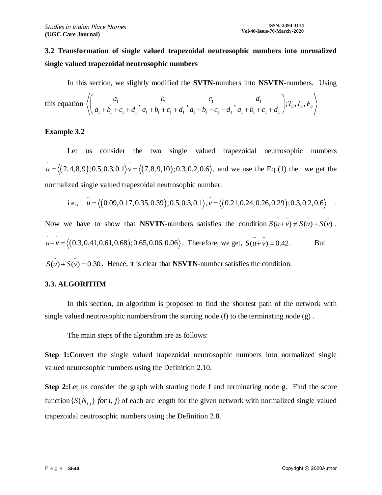# **3.2 Transformation of single valued trapezoidal neutrosophic numbers into normalized single valued trapezoidal neutrosophic numbers**

In this section, we slightly modified the **SVTN-**numbers into **NSVTN-**numbers. Using

In this section, we slightly modified the **SVTN**-numbers into **NSVTN**-numbers.   
 this equation 
$$
\left\langle \left( \frac{a_1}{a_1 + b_1 + c_1 + d_1}, \frac{b_1}{a_1 + b_1 + c_1 + d_1}, \frac{c_1}{a_1 + b_1 + c_1 + d_1}, \frac{d_1}{a_1 + b_1 + c_1 + d_1} \right); T_a, I_a, F_a \right\rangle
$$

#### **Example 3.2**

Let us consider the two single valued trapezoidal neutrosophic numbers  $(2,4,8,9); 0.5, 0.3, 0.1$   $v = \langle (7,8,9,10) \rangle$ Let us consider the two single valued trapezoidal neutrosophic numbers  $\tilde{u} = \langle (2,4,8,9); 0.5, 0.3, 0.1 \rangle \tilde{v} = \langle (7,8,9,10); 0.3, 0.2, 0.6 \rangle$ , and we use the Eq (1) then we get the normalized single valued trapezoidal neutrosophic number.<br> $\frac{a}{4} = \frac{1}{2} (0.000017025030) \cdot 0.50301 \cdot \frac{a}{4} = 1$ right valued trapezoidal neutrosophic number.<br>  $\tilde{u} = \langle (0.09, 0.17, 0.35, 0.39); 0.5, 0.3, 0.1 \rangle, \tilde{v} = \langle (0.21, 0.24, 0.26, 0.29); 0.3, 0.2, 0.6 \rangle$ 

i.e., 
$$
\tilde{u} = \langle (0.09, 0.17, 0.35, 0.39); 0.5, 0.3, 0.1 \rangle
$$
,  $\tilde{v} = \langle (0.21, 0.24, 0.26, 0.29); 0.3, 0.2, 0.6 \rangle$ .

Now we have to show that **NSVTN**-numbers satisfies the condition  $S(\tilde{u} + \tilde{v}) \neq S(\tilde{u}) + S(\tilde{v})$ .  $(0.3, 0.41, 0.61, 0.68)$  $\tilde{u} + \tilde{v} = \langle (0.3, 0.41, 0.61, 0.68); 0.65, 0.06, 0.06 \rangle$ . Therefore, we get,  $S(\tilde{u} + \tilde{v}) = 0.42$ . But  $S(\tilde{u}) + S(\tilde{v}) = 0.30$ . Hence, it is clear that **NSVTN**-number satisfies the condition.

## **3.3. ALGORITHM**

In this section, an algorithm is proposed to find the shortest path of the network with single valued neutrosophic numbersfrom the starting node (f) to the terminating node (g) .

The main steps of the algorithm are as follows:

**Step 1:** Convert the single valued trapezoidal neutrosophic numbers into normalized single valued neutrosophic numbers using the Definition 2.10.

**Step 2:**Let us consider the graph with starting node f and terminating node g. Find the score function  $\{S(N_{i,j})$  *for i, j*  $\}$  of each arc length for the given network with normalized single valued trapezoidal neutrosophic numbers using the Definition 2.8.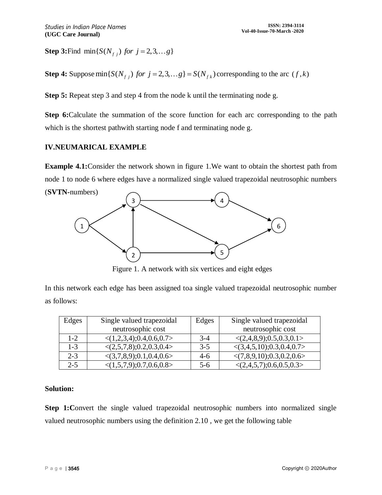**Step 3:**Find  $\min\{S(N_{f,j})$  *for*  $j = 2, 3, ..., g\}$ 

**Step 4:** Suppose  $\min\{S(N_{f_i})$  *for*  $j = 2, 3, \ldots g\} = S(N_{f_k})$  corresponding to the arc  $(f, k)$ 

**Step 5:** Repeat step 3 and step 4 from the node k until the terminating node g.

**Step 6:**Calculate the summation of the score function for each arc corresponding to the path which is the shortest pathwith starting node f and terminating node g.

#### **IV.NEUMARICAL EXAMPLE**

**Example 4.1:** Consider the network shown in figure 1. We want to obtain the shortest path from node 1 to node 6 where edges have a normalized single valued trapezoidal neutrosophic numbers (**SVTN-**numbers)



Figure 1. A network with six vertices and eight edges

In this network each edge has been assigned toa single valued trapezoidal neutrosophic number as follows:

| Edges   | Single valued trapezoidal                  | Edges | Single valued trapezoidal                   |
|---------|--------------------------------------------|-------|---------------------------------------------|
|         | neutrosophic cost                          |       | neutrosophic cost                           |
| $1 - 2$ | $\langle (1,2,3,4); 0.4, 0.6, 0.7 \rangle$ | $3-4$ | $\langle (2,4,8,9); 0.5, 0.3, 0.1 \rangle$  |
| $1 - 3$ | $\langle (2,5,7,8); 0.2, 0.3, 0.4 \rangle$ | $3-5$ | $\langle (3,4,5,10); 0.3, 0.4, 0.7 \rangle$ |
| $2 - 3$ | $\langle (3,7,8,9); 0.1, 0.4, 0.6 \rangle$ | 4-6   | $\langle (7,8,9,10); 0.3, 0.2, 0.6 \rangle$ |
| $2 - 5$ | $\langle (1,5,7,9); 0.7, 0.6, 0.8 \rangle$ | $5-6$ | $\langle (2,4,5,7); 0.6, 0.5, 0.3 \rangle$  |

## **Solution:**

**Step 1: Convert** the single valued trapezoidal neutrosophic numbers into normalized single valued neutrosophic numbers using the definition 2.10 , we get the following table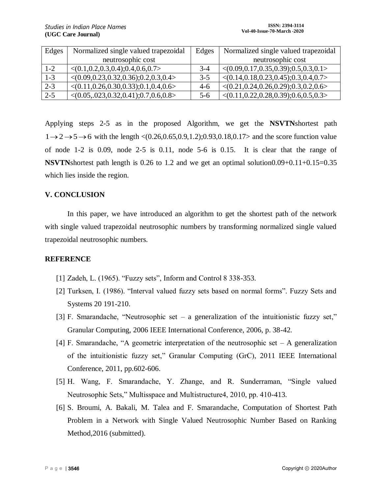| Edges   | Normalized single valued trapezoidal                      | Edges   | Normalized single valued trapezoidal                      |
|---------|-----------------------------------------------------------|---------|-----------------------------------------------------------|
|         | neutrosophic cost                                         |         | neutrosophic cost                                         |
| $1 - 2$ | $\langle (0.1, 0.2, 0.3, 0.4), 0.4, 0.6, 0.7 \rangle$     | $3-4$   | $<(0.09, 0.17, 0.35, 0.39); 0.5, 0.3, 0.1>$               |
| $1 - 3$ | $<(0.09, 0.23, 0.32, 0.36); 0.2, 0.3, 0.4>$               | $3 - 5$ | $\langle (0.14, 0.18, 0.23, 0.45); 0.3, 0.4, 0.7 \rangle$ |
| $2 - 3$ | $\langle (0.11, 0.26, 0.30, 0.33); 0.1, 0.4, 0.6 \rangle$ | $4-6$   | $<(0.21, 0.24, 0.26, 0.29); 0.3, 0.2, 0.6>$               |
| $2 - 5$ | $\langle (0.05, .023, 0.32, 0.41); 0.7, 0.6, 0.8 \rangle$ | $5-6$   | $\langle (0.11, 0.22, 0.28, 0.39); 0.6, 0.5, 0.3 \rangle$ |

Applying steps 2-5 as in the proposed Algorithm, we get the **NSVTN**shortest path  $1 \rightarrow 2 \rightarrow 5 \rightarrow 6$  with the length <(0.26,0.65,0.9,1.2);0.93,0.18,0.17> and the score function value of node 1-2 is 0.09, node 2-5 is 0.11, node 5-6 is 0.15. It is clear that the range of **NSVTN**shortest path length is 0.26 to 1.2 and we get an optimal solution0.09+0.11+0.15=0.35 which lies inside the region.

## **V. CONCLUSION**

In this paper, we have introduced an algorithm to get the shortest path of the network with single valued trapezoidal neutrosophic numbers by transforming normalized single valued trapezoidal neutrosophic numbers.

#### **REFERENCE**

- [1] Zadeh, L. (1965). "Fuzzy sets", Inform and Control 8 338-353.
- [2] Turksen, I. (1986). "Interval valued fuzzy sets based on normal forms". Fuzzy Sets and Systems 20 191-210.
- [3] F. Smarandache, "Neutrosophic set a generalization of the intuitionistic fuzzy set," Granular Computing, 2006 IEEE International Conference, 2006, p. 38-42.
- [4] F. Smarandache, "A geometric interpretation of the neutrosophic set A generalization of the intuitionistic fuzzy set," Granular Computing (GrC), 2011 IEEE International Conference, 2011, pp.602-606.
- [5] H. Wang, F. Smarandache, Y. Zhange, and R. Sunderraman, "Single valued Neutrosophic Sets," Multisspace and Multistructure4, 2010, pp. 410-413.
- [6] S. Broumi, A. Bakali, M. Talea and F. Smarandache, Computation of Shortest Path Problem in a Network with Single Valued Neutrosophic Number Based on Ranking Method, 2016 (submitted).